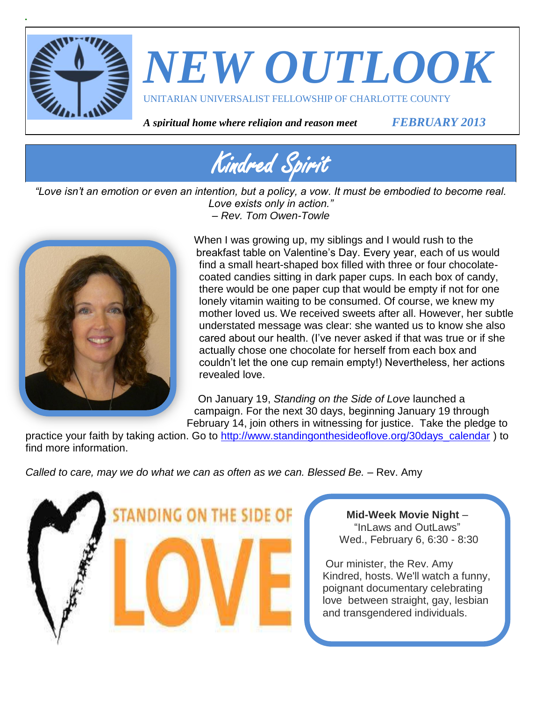



*A spiritual home where religion and reason meet FEBRUARY 2013*



*"Love isn't an emotion or even an intention, but a policy, a vow. It must be embodied to become real. Love exists only in action." – Rev. Tom Owen-Towle*



When I was growing up, my siblings and I would rush to the breakfast table on Valentine's Day. Every year, each of us would find a small heart-shaped box filled with three or four chocolatecoated candies sitting in dark paper cups. In each box of candy, there would be one paper cup that would be empty if not for one lonely vitamin waiting to be consumed. Of course, we knew my mother loved us. We received sweets after all. However, her subtle understated message was clear: she wanted us to know she also cared about our health. (I've never asked if that was true or if she actually chose one chocolate for herself from each box and couldn't let the one cup remain empty!) Nevertheless, her actions revealed love.

On January 19, *Standing on the Side of Love* launched a campaign. For the next 30 days, beginning January 19 through February 14, join others in witnessing for justice. Take the pledge to

practice your faith by taking action. Go to [http://www.standingonthesideoflove.org/30days\\_calendar](http://www.standingonthesideoflove.org/30days_calendar) ) to find more information.

*Called to care, may we do what we can as often as we can. Blessed Be.* – Rev. Amy



**Mid-Week Movie Night** – "InLaws and OutLaws" Wed., February 6, 6:30 - 8:30

Our minister, the Rev. Amy Kindred, hosts. We'll watch a funny, poignant documentary celebrating love between straight, gay, lesbian and transgendered individuals.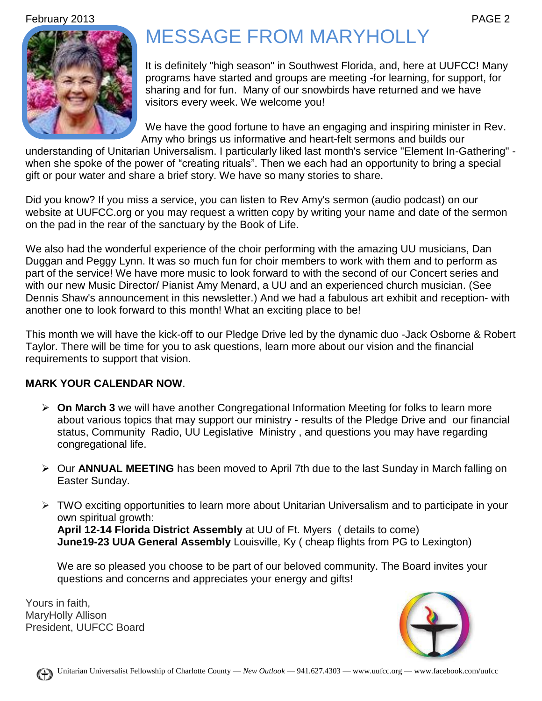February 2013 PAGE 2



# MESSAGE FROM MARYHOLLY

It is definitely "high season" in Southwest Florida, and, here at UUFCC! Many programs have started and groups are meeting -for learning, for support, for sharing and for fun. Many of our snowbirds have returned and we have visitors every week. We welcome you!

We have the good fortune to have an engaging and inspiring minister in Rev. Amy who brings us informative and heart-felt sermons and builds our

understanding of Unitarian Universalism. I particularly liked last month's service "Element In-Gathering" when she spoke of the power of "creating rituals". Then we each had an opportunity to bring a special gift or pour water and share a brief story. We have so many stories to share.

Did you know? If you miss a service, you can listen to Rev Amy's sermon (audio podcast) on our website at UUFCC.org or you may request a written copy by writing your name and date of the sermon on the pad in the rear of the sanctuary by the Book of Life.

We also had the wonderful experience of the choir performing with the amazing UU musicians, Dan Duggan and Peggy Lynn. It was so much fun for choir members to work with them and to perform as part of the service! We have more music to look forward to with the second of our Concert series and with our new Music Director/ Pianist Amy Menard, a UU and an experienced church musician. (See Dennis Shaw's announcement in this newsletter.) And we had a fabulous art exhibit and reception- with another one to look forward to this month! What an exciting place to be!

This month we will have the kick-off to our Pledge Drive led by the dynamic duo -Jack Osborne & Robert Taylor. There will be time for you to ask questions, learn more about our vision and the financial requirements to support that vision.

#### **MARK YOUR CALENDAR NOW**.

- **On March 3** we will have another Congregational Information Meeting for folks to learn more about various topics that may support our ministry - results of the Pledge Drive and our financial status, Community Radio, UU Legislative Ministry , and questions you may have regarding congregational life.
- Our **ANNUAL MEETING** has been moved to April 7th due to the last Sunday in March falling on Easter Sunday.
- $\triangleright$  TWO exciting opportunities to learn more about Unitarian Universalism and to participate in your own spiritual growth: **April 12-14 Florida District Assembly** at UU of Ft. Myers ( details to come)

**June19-23 UUA General Assembly** Louisville, Ky ( cheap flights from PG to Lexington)

We are so pleased you choose to be part of our beloved community. The Board invites your questions and concerns and appreciates your energy and gifts!

Yours in faith, MaryHolly Allison President, UUFCC Board

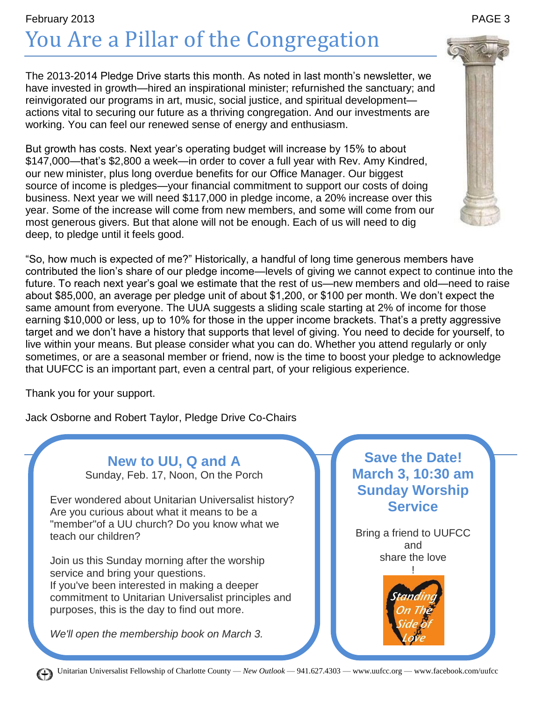## February 2013 PAGE 3 You Are a Pillar of the Congregation

The 2013-2014 Pledge Drive starts this month. As noted in last month's newsletter, we have invested in growth—hired an inspirational minister; refurnished the sanctuary; and reinvigorated our programs in art, music, social justice, and spiritual development actions vital to securing our future as a thriving congregation. And our investments are working. You can feel our renewed sense of energy and enthusiasm.

But growth has costs. Next year's operating budget will increase by 15% to about \$147,000—that's \$2,800 a week—in order to cover a full year with Rev. Amy Kindred, our new minister, plus long overdue benefits for our Office Manager. Our biggest source of income is pledges—your financial commitment to support our costs of doing business. Next year we will need \$117,000 in pledge income, a 20% increase over this year. Some of the increase will come from new members, and some will come from our most generous givers. But that alone will not be enough. Each of us will need to dig deep, to pledge until it feels good.

"So, how much is expected of me?" Historically, a handful of long time generous members have contributed the lion's share of our pledge income—levels of giving we cannot expect to continue into the future. To reach next year's goal we estimate that the rest of us—new members and old—need to raise about \$85,000, an average per pledge unit of about \$1,200, or \$100 per month. We don't expect the same amount from everyone. The UUA suggests a sliding scale starting at 2% of income for those earning \$10,000 or less, up to 10% for those in the upper income brackets. That's a pretty aggressive target and we don't have a history that supports that level of giving. You need to decide for yourself, to live within your means. But please consider what you can do. Whether you attend regularly or only sometimes, or are a seasonal member or friend, now is the time to boost your pledge to acknowledge that UUFCC is an important part, even a central part, of your religious experience.

Thank you for your support.

Jack Osborne and Robert Taylor, Pledge Drive Co-Chairs

**New to UU, Q and A** Sunday, Feb. 17, Noon, On the Porch

## Ever wondered about Unitarian Universalist history? Are you curious about what it means to be a "member"of a UU church? Do you know what we teach our children?

Join us this Sunday morning after the worship service and bring your questions. If you've been interested in making a deeper commitment to Unitarian Universalist principles and purposes, this is the day to find out more.

*We'll open the membership book on March 3.* 



Bring a friend to UUFCC and share the love !



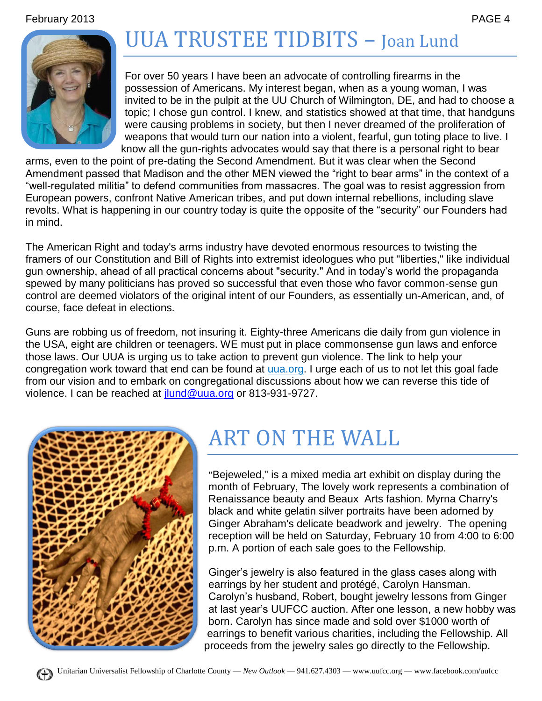February 2013 PAGE 4

# UUA TRUSTEE TIDBITS – Joan Lund



For over 50 years I have been an advocate of controlling firearms in the possession of Americans. My interest began, when as a young woman, I was invited to be in the pulpit at the UU Church of Wilmington, DE, and had to choose a topic; I chose gun control. I knew, and statistics showed at that time, that handguns were causing problems in society, but then I never dreamed of the proliferation of weapons that would turn our nation into a violent, fearful, gun toting place to live. I know all the gun-rights advocates would say that there is a personal right to bear

arms, even to the point of pre-dating the Second Amendment. But it was clear when the Second Amendment passed that Madison and the other MEN viewed the "right to bear arms" in the context of a "well-regulated militia" to defend communities from massacres. The goal was to resist aggression from European powers, confront Native American tribes, and put down internal rebellions, including slave revolts. What is happening in our country today is quite the opposite of the "security" our Founders had in mind.

The American Right and today's arms industry have devoted enormous resources to twisting the framers of our Constitution and Bill of Rights into extremist ideologues who put "liberties," like individual gun ownership, ahead of all practical concerns about "security." And in today's world the propaganda spewed by many politicians has proved so successful that even those who favor common-sense gun control are deemed violators of the original intent of our Founders, as essentially un-American, and, of course, face defeat in elections.

Guns are robbing us of freedom, not insuring it. Eighty-three Americans die daily from gun violence in the USA, eight are children or teenagers. WE must put in place commonsense gun laws and enforce those laws. Our UUA is urging us to take action to prevent gun violence. The link to help your congregation work toward that end can be found at uua.org. I urge each of us to not let this goal fade from our vision and to embark on congregational discussions about how we can reverse this tide of violence. I can be reached at jund@uua.org or 813-931-9727.



# ART ON THE WALL

"Bejeweled," is a mixed media art exhibit on display during the month of February, The lovely work represents a combination of Renaissance beauty and Beaux Arts fashion. Myrna Charry's black and white gelatin silver portraits have been adorned by Ginger Abraham's delicate beadwork and jewelry. The opening reception will be held on Saturday, February 10 from 4:00 to 6:00 p.m. A portion of each sale goes to the Fellowship.

Ginger's jewelry is also featured in the glass cases along with earrings by her student and protégé, Carolyn Hansman. Carolyn's husband, Robert, bought jewelry lessons from Ginger at last year's UUFCC auction. After one lesson, a new hobby was born. Carolyn has since made and sold over \$1000 worth of earrings to benefit various charities, including the Fellowship. All proceeds from the jewelry sales go directly to the Fellowship.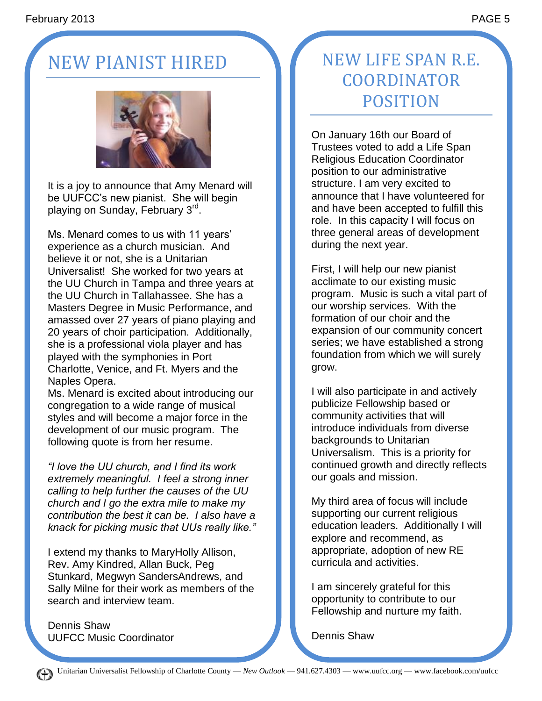# NEW PIANIST HIRED



It is a joy to announce that Amy Menard will be UUFCC's new pianist. She will begin playing on Sunday, February 3<sup>rd</sup>.

Ms. Menard comes to us with 11 years' experience as a church musician. And believe it or not, she is a Unitarian Universalist! She worked for two years at the UU Church in Tampa and three years at the UU Church in Tallahassee. She has a Masters Degree in Music Performance, and amassed over 27 years of piano playing and 20 years of choir participation. Additionally, she is a professional viola player and has played with the symphonies in Port Charlotte, Venice, and Ft. Myers and the Naples Opera.

Ms. Menard is excited about introducing our congregation to a wide range of musical styles and will become a major force in the development of our music program. The following quote is from her resume.

*"I love the UU church, and I find its work extremely meaningful. I feel a strong inner calling to help further the causes of the UU church and I go the extra mile to make my contribution the best it can be. I also have a knack for picking music that UUs really like."*

I extend my thanks to MaryHolly Allison, Rev. Amy Kindred, Allan Buck, Peg Stunkard, Megwyn SandersAndrews, and Sally Milne for their work as members of the search and interview team.

Dennis Shaw UUFCC Music Coordinator

## NEW LIFE SPAN R.E. COORDINATOR POSITION

On January 16th our Board of Trustees voted to add a Life Span Religious Education Coordinator position to our administrative structure. I am very excited to announce that I have volunteered for and have been accepted to fulfill this role. In this capacity I will focus on three general areas of development during the next year.

First, I will help our new pianist acclimate to our existing music program. Music is such a vital part of our worship services. With the formation of our choir and the expansion of our community concert series; we have established a strong foundation from which we will surely grow.

I will also participate in and actively publicize Fellowship based or community activities that will introduce individuals from diverse backgrounds to Unitarian Universalism. This is a priority for continued growth and directly reflects our goals and mission.

My third area of focus will include supporting our current religious education leaders. Additionally I will explore and recommend, as appropriate, adoption of new RE curricula and activities.

I am sincerely grateful for this opportunity to contribute to our Fellowship and nurture my faith.

Dennis Shaw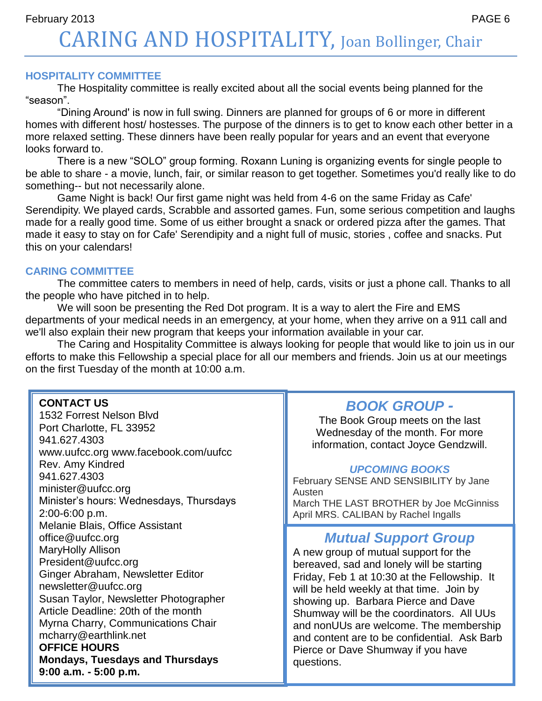February 2013 PAGE 6 CARING AND HOSPITALITY, Joan Bollinger, Chair

#### **HOSPITALITY COMMITTEE**

The Hospitality committee is really excited about all the social events being planned for the "season".

"Dining Around' is now in full swing. Dinners are planned for groups of 6 or more in different homes with different host/ hostesses. The purpose of the dinners is to get to know each other better in a more relaxed setting. These dinners have been really popular for years and an event that everyone looks forward to.

There is a new "SOLO" group forming. Roxann Luning is organizing events for single people to be able to share - a movie, lunch, fair, or similar reason to get together. Sometimes you'd really like to do something-- but not necessarily alone.

Game Night is back! Our first game night was held from 4-6 on the same Friday as Cafe' Serendipity. We played cards, Scrabble and assorted games. Fun, some serious competition and laughs made for a really good time. Some of us either brought a snack or ordered pizza after the games. That made it easy to stay on for Cafe' Serendipity and a night full of music, stories , coffee and snacks. Put this on your calendars!

#### **CARING COMMITTEE**

The committee caters to members in need of help, cards, visits or just a phone call. Thanks to all the people who have pitched in to help.

We will soon be presenting the Red Dot program. It is a way to alert the Fire and EMS departments of your medical needs in an emergency, at your home, when they arrive on a 911 call and we'll also explain their new program that keeps your information available in your car.

The Caring and Hospitality Committee is always looking for people that would like to join us in our efforts to make this Fellowship a special place for all our members and friends. Join us at our meetings on the first Tuesday of the month at 10:00 a.m.

#### **CONTACT US**

Unitarian Universalist Fellowship of Charlotte County — *New Outlook* — 941.627.4303 — www.uufcc.org — www.facebook.com/uufcc **9:00 a.m. - 5:00 p.m.** 1532 Forrest Nelson Blvd Port Charlotte, FL 33952 941.627.4303 www.uufcc.org www.facebook.com/uufcc Rev. Amy Kindred 941.627.4303 minister@uufcc.org Minister's hours: Wednesdays, Thursdays 2:00-6:00 p.m. Melanie Blais, Office Assistant office@uufcc.org MaryHolly Allison President@uufcc.org Ginger Abraham, Newsletter Editor newsletter@uufcc.org Susan Taylor, Newsletter Photographer Article Deadline: 20th of the month Myrna Charry, Communications Chair mcharry@earthlink.net **OFFICE HOURS Mondays, Tuesdays and Thursdays** 

### *BOOK GROUP -*

The Book Group meets on the last Wednesday of the month. For more information, contact Joyce Gendzwill.

#### *UPCOMING BOOKS*

February SENSE AND SENSIBILITY by Jane Austen

March THE LAST BROTHER by Joe McGinniss April MRS. CALIBAN by Rachel Ingalls

### *Mutual Support Group*

A new group of mutual support for the bereaved, sad and lonely will be starting Friday, Feb 1 at 10:30 at the Fellowship. It will be held weekly at that time. Join by showing up. Barbara Pierce and Dave Shumway will be the coordinators. All UUs and nonUUs are welcome. The membership and content are to be confidential. Ask Barb Pierce or Dave Shumway if you have questions.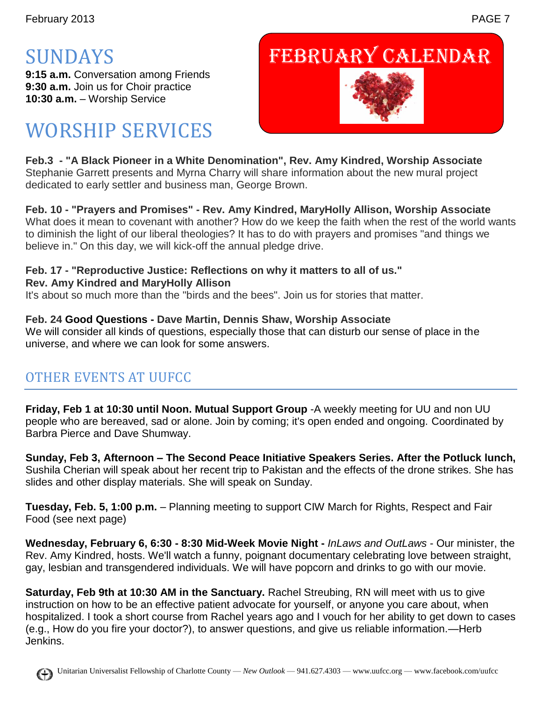# SUNDAYS

**9:15 a.m.** Conversation among Friends **9:30 a.m.** Join us for Choir practice **10:30 a.m.** – Worship Service

# WORSHIP SERVICES

# February Calendar



**Feb.3 - "A Black Pioneer in a White Denomination", Rev. Amy Kindred, Worship Associate** Stephanie Garrett presents and Myrna Charry will share information about the new mural project dedicated to early settler and business man, George Brown.

**Feb. 10 - "Prayers and Promises" - Rev. Amy Kindred, MaryHolly Allison, Worship Associate** What does it mean to covenant with another? How do we keep the faith when the rest of the world wants to diminish the light of our liberal theologies? It has to do with prayers and promises "and things we believe in." On this day, we will kick-off the annual pledge drive.

### **Feb. 17 - "Reproductive Justice: Reflections on why it matters to all of us."**

#### **Rev. Amy Kindred and MaryHolly Allison**

It's about so much more than the "birds and the bees". Join us for stories that matter.

### **Feb. 24 Good Questions - Dave Martin, Dennis Shaw, Worship Associate**

We will consider all kinds of questions, especially those that can disturb our sense of place in the universe, and where we can look for some answers.

### OTHER EVENTS AT UUFCC

**Friday, Feb 1 at 10:30 until Noon. Mutual Support Group** -A weekly meeting for UU and non UU people who are bereaved, sad or alone. Join by coming; it's open ended and ongoing. Coordinated by Barbra Pierce and Dave Shumway.

**Sunday, Feb 3, Afternoon – The Second Peace Initiative Speakers Series. After the Potluck lunch,**  Sushila Cherian will speak about her recent trip to Pakistan and the effects of the drone strikes. She has slides and other display materials. She will speak on Sunday.

**Tuesday, Feb. 5, 1:00 p.m.** – Planning meeting to support CIW March for Rights, Respect and Fair Food (see next page)

**Wednesday, February 6, 6:30 - 8:30 Mid-Week Movie Night -** *InLaws and OutLaws* - Our minister, the Rev. Amy Kindred, hosts. We'll watch a funny, poignant documentary celebrating love between straight, gay, lesbian and transgendered individuals. We will have popcorn and drinks to go with our movie.

**Saturday, Feb 9th at 10:30 AM in the Sanctuary.** Rachel Streubing, RN will meet with us to give instruction on how to be an effective patient advocate for yourself, or anyone you care about, when hospitalized. I took a short course from Rachel years ago and I vouch for her ability to get down to cases (e.g., How do you fire your doctor?), to answer questions, and give us reliable information.—Herb Jenkins.